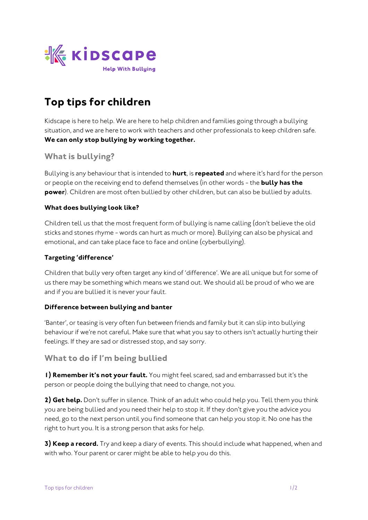

# **Top tips for children**

*Kidscape is here to help. We are here to help children and families going through a bullying situation, and we are here to work with teachers and other professionals to keep children safe.*  **We can only stop bullying by working together.**

## **What is bullying?**

*Bullying is any behaviour that is intended to* **hurt***, is* **repeated** *and where it's hard for the person or people on the receiving end to defend themselves (in other words - the* **bully has the power***). Children are most often bullied by other children, but can also be bullied by adults.* 

#### **What does bullying look like?**

*Children tell us that the most frequent form of bullying is name calling (don't believe the old sticks and stones rhyme - words can hurt as much or more). Bullying can also be physical and emotional, and can take place face to face and online (cyberbullying).* 

#### **Targeting 'difference'**

*Children that bully very often target any kind of 'difference'. We are all unique but for some of us there may be something which means we stand out. We should all be proud of who we are and if you are bullied it is never your fault.*

#### **Difference between bullying and banter**

*'Banter', or teasing is very often fun between friends and family but it can slip into bullying behaviour if we're not careful. Make sure that what you say to others isn't actually hurting their feelings. If they are sad or distressed stop, and say sorry.* 

## **What to do if I'm being bullied**

**1) Remember it's not your fault.** *You might feel scared, sad and embarrassed but it's the person or people doing the bullying that need to change, not you.*

**2) Get help.** *Don't suffer in silence. Think of an adult who could help you. Tell them you think you are being bullied and you need their help to stop it. If they don't give you the advice you need, go to the next person until you find someone that can help you stop it. No one has the right to hurt you. It is a strong person that asks for help.*

**3) Keep a record.** *Try and keep a diary of events. This should include what happened, when and with who. Your parent or carer might be able to help you do this.*